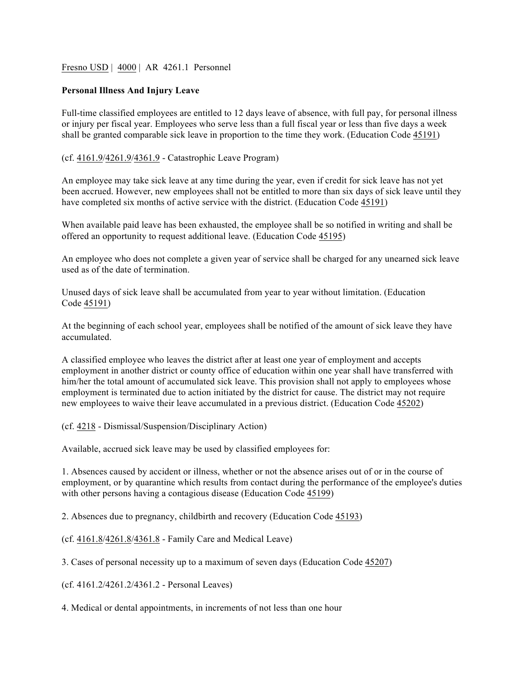## Fresno USD | 4000 | AR 4261.1 Personnel

## **Personal Illness And Injury Leave**

Full-time classified employees are entitled to 12 days leave of absence, with full pay, for personal illness or injury per fiscal year. Employees who serve less than a full fiscal year or less than five days a week shall be granted comparable sick leave in proportion to the time they work. (Education Code 45191)

## (cf. 4161.9/4261.9/4361.9 - Catastrophic Leave Program)

An employee may take sick leave at any time during the year, even if credit for sick leave has not yet been accrued. However, new employees shall not be entitled to more than six days of sick leave until they have completed six months of active service with the district. (Education Code 45191)

When available paid leave has been exhausted, the employee shall be so notified in writing and shall be offered an opportunity to request additional leave. (Education Code 45195)

An employee who does not complete a given year of service shall be charged for any unearned sick leave used as of the date of termination.

Unused days of sick leave shall be accumulated from year to year without limitation. (Education Code 45191)

At the beginning of each school year, employees shall be notified of the amount of sick leave they have accumulated.

A classified employee who leaves the district after at least one year of employment and accepts employment in another district or county office of education within one year shall have transferred with him/her the total amount of accumulated sick leave. This provision shall not apply to employees whose employment is terminated due to action initiated by the district for cause. The district may not require new employees to waive their leave accumulated in a previous district. (Education Code 45202)

(cf. 4218 - Dismissal/Suspension/Disciplinary Action)

Available, accrued sick leave may be used by classified employees for:

1. Absences caused by accident or illness, whether or not the absence arises out of or in the course of employment, or by quarantine which results from contact during the performance of the employee's duties with other persons having a contagious disease (Education Code 45199)

2. Absences due to pregnancy, childbirth and recovery (Education Code 45193)

(cf. 4161.8/4261.8/4361.8 - Family Care and Medical Leave)

3. Cases of personal necessity up to a maximum of seven days (Education Code 45207)

(cf. 4161.2/4261.2/4361.2 - Personal Leaves)

4. Medical or dental appointments, in increments of not less than one hour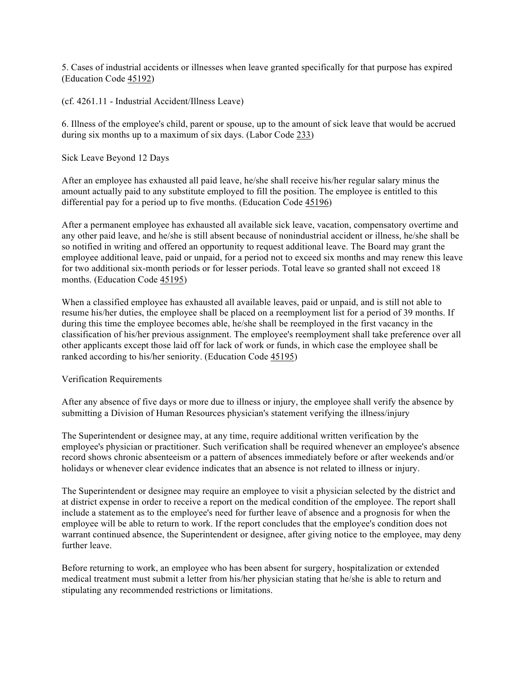5. Cases of industrial accidents or illnesses when leave granted specifically for that purpose has expired (Education Code 45192)

(cf. 4261.11 - Industrial Accident/Illness Leave)

6. Illness of the employee's child, parent or spouse, up to the amount of sick leave that would be accrued during six months up to a maximum of six days. (Labor Code 233)

Sick Leave Beyond 12 Days

After an employee has exhausted all paid leave, he/she shall receive his/her regular salary minus the amount actually paid to any substitute employed to fill the position. The employee is entitled to this differential pay for a period up to five months. (Education Code 45196)

After a permanent employee has exhausted all available sick leave, vacation, compensatory overtime and any other paid leave, and he/she is still absent because of nonindustrial accident or illness, he/she shall be so notified in writing and offered an opportunity to request additional leave. The Board may grant the employee additional leave, paid or unpaid, for a period not to exceed six months and may renew this leave for two additional six-month periods or for lesser periods. Total leave so granted shall not exceed 18 months. (Education Code 45195)

When a classified employee has exhausted all available leaves, paid or unpaid, and is still not able to resume his/her duties, the employee shall be placed on a reemployment list for a period of 39 months. If during this time the employee becomes able, he/she shall be reemployed in the first vacancy in the classification of his/her previous assignment. The employee's reemployment shall take preference over all other applicants except those laid off for lack of work or funds, in which case the employee shall be ranked according to his/her seniority. (Education Code 45195)

Verification Requirements

After any absence of five days or more due to illness or injury, the employee shall verify the absence by submitting a Division of Human Resources physician's statement verifying the illness/injury

The Superintendent or designee may, at any time, require additional written verification by the employee's physician or practitioner. Such verification shall be required whenever an employee's absence record shows chronic absenteeism or a pattern of absences immediately before or after weekends and/or holidays or whenever clear evidence indicates that an absence is not related to illness or injury.

The Superintendent or designee may require an employee to visit a physician selected by the district and at district expense in order to receive a report on the medical condition of the employee. The report shall include a statement as to the employee's need for further leave of absence and a prognosis for when the employee will be able to return to work. If the report concludes that the employee's condition does not warrant continued absence, the Superintendent or designee, after giving notice to the employee, may deny further leave.

Before returning to work, an employee who has been absent for surgery, hospitalization or extended medical treatment must submit a letter from his/her physician stating that he/she is able to return and stipulating any recommended restrictions or limitations.